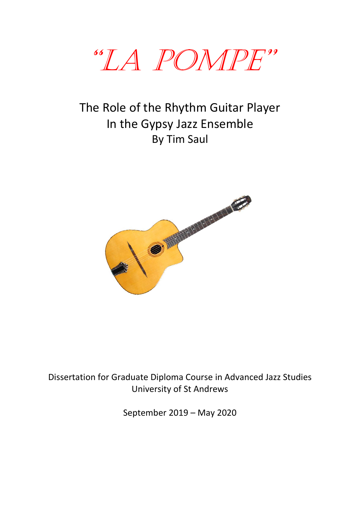

# The Role of the Rhythm Guitar Player In the Gypsy Jazz Ensemble By Tim Saul



## Dissertation for Graduate Diploma Course in Advanced Jazz Studies University of St Andrews

September 2019 – May 2020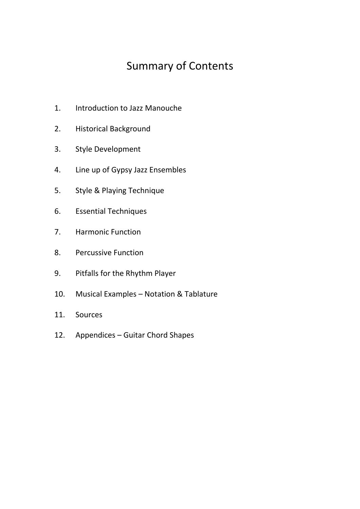# Summary of Contents

- 1. Introduction to Jazz Manouche
- 2. Historical Background
- 3. Style Development
- 4. Line up of Gypsy Jazz Ensembles
- 5. Style & Playing Technique
- 6. Essential Techniques
- 7. Harmonic Function
- 8. Percussive Function
- 9. Pitfalls for the Rhythm Player
- 10. Musical Examples Notation & Tablature
- 11. Sources
- 12. Appendices Guitar Chord Shapes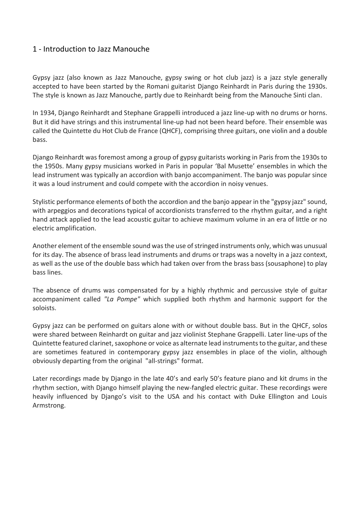## 1 - Introduction to Jazz Manouche

Gypsy jazz (also known as Jazz Manouche, gypsy swing or hot club jazz) is a jazz style generally accepted to have been started by the Romani guitarist Django Reinhardt in Paris during the 1930s. The style is known as Jazz Manouche, partly due to Reinhardt being from the Manouche Sinti clan.

In 1934, Django Reinhardt and Stephane Grappelli introduced a jazz line-up with no drums or horns. But it did have strings and this instrumental line-up had not been heard before. Their ensemble was called the Quintette du Hot Club de France (QHCF), comprising three guitars, one violin and a double bass.

Django Reinhardt was foremost among a group of gypsy guitarists working in Paris from the 1930s to the 1950s. Many gypsy musicians worked in Paris in popular 'Bal Musette' ensembles in which the lead instrument was typically an accordion with banjo accompaniment. The banjo was popular since it was a loud instrument and could compete with the accordion in noisy venues.

Stylistic performance elements of both the accordion and the banjo appear in the "gypsy jazz" sound, with arpeggios and decorations typical of accordionists transferred to the rhythm guitar, and a right hand attack applied to the lead acoustic guitar to achieve maximum volume in an era of little or no electric amplification.

Another element of the ensemble sound wasthe use of stringed instruments only, which was unusual for its day. The absence of brass lead instruments and drums or traps was a novelty in a jazz context, as well as the use of the double bass which had taken over from the brass bass (sousaphone) to play bass lines.

The absence of drums was compensated for by a highly rhythmic and percussive style of guitar accompaniment called *"La Pompe"* which supplied both rhythm and harmonic support for the soloists.

Gypsy jazz can be performed on guitars alone with or without double bass. But in the QHCF, solos were shared between Reinhardt on guitar and jazz violinist Stephane Grappelli. Later line-ups of the Quintette featured clarinet,saxophone or voice as alternate lead instruments to the guitar, and these are sometimes featured in contemporary gypsy jazz ensembles in place of the violin, although obviously departing from the original "all-strings" format.

Later recordings made by Django in the late 40's and early 50's feature piano and kit drums in the rhythm section, with Django himself playing the new-fangled electric guitar. These recordings were heavily influenced by Django's visit to the USA and his contact with Duke Ellington and Louis Armstrong.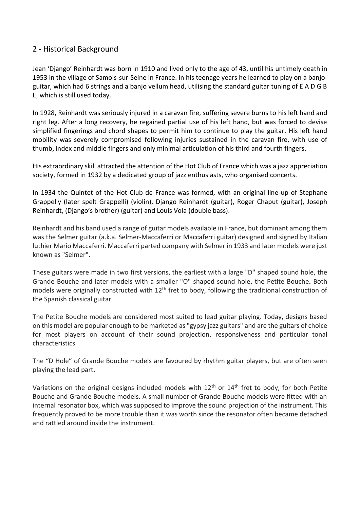### 2 - Historical Background

Jean 'Django' Reinhardt was born in 1910 and lived only to the age of 43, until his untimely death in 1953 in the village of Samois-sur-Seine in France. In his teenage years he learned to play on a banjoguitar, which had 6 strings and a banjo vellum head, utilising the standard guitar tuning of E A D G B E, which is still used today.

In 1928, Reinhardt was seriously injured in a caravan fire, suffering severe burns to his left hand and right leg. After a long recovery, he regained partial use of his left hand, but was forced to devise simplified fingerings and chord shapes to permit him to continue to play the guitar. His left hand mobility was severely compromised following injuries sustained in the caravan fire, with use of thumb, index and middle fingers and only minimal articulation of his third and fourth fingers.

His extraordinary skill attracted the attention of the Hot Club of France which was a jazz appreciation society, formed in 1932 by a dedicated group of jazz enthusiasts, who organised concerts.

In 1934 the Quintet of the Hot Club de France was formed, with an original line-up of Stephane Grappelly (later spelt Grappelli) (violin), Django Reinhardt (guitar), Roger Chaput (guitar), Joseph Reinhardt, (Django's brother) (guitar) and Louis Vola (double bass).

Reinhardt and his band used a range of guitar models available in France, but dominant among them was the Selmer guitar (a.k.a. Selmer-Maccaferri or Maccaferri guitar) designed and signed by Italian luthier Mario Maccaferri. Maccaferri parted company with Selmer in 1933 and later models were just known as "Selmer".

These guitars were made in two first versions, the earliest with a large "D" shaped sound hole, the Grande Bouche and later models with a smaller "O" shaped sound hole, the Petite Bouche**.** Both models were originally constructed with 12<sup>th</sup> fret to body, following the traditional construction of the Spanish classical guitar.

The Petite Bouche models are considered most suited to lead guitar playing. Today, designs based on this model are popular enough to be marketed as "gypsy jazz guitars" and are the guitars of choice for most players on account of their sound projection, responsiveness and particular tonal characteristics.

The "D Hole" of Grande Bouche models are favoured by rhythm guitar players, but are often seen playing the lead part.

Variations on the original designs included models with  $12<sup>th</sup>$  or  $14<sup>th</sup>$  fret to body, for both Petite Bouche and Grande Bouche models. A small number of Grande Bouche models were fitted with an internal resonator box, which was supposed to improve the sound projection of the instrument. This frequently proved to be more trouble than it was worth since the resonator often became detached and rattled around inside the instrument.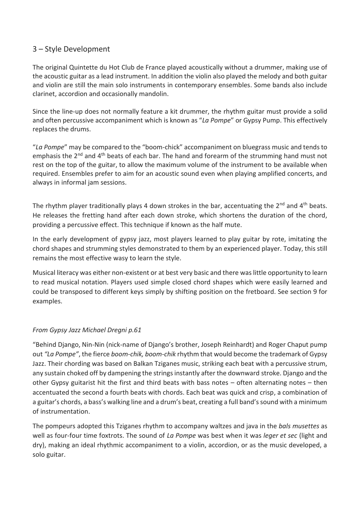## 3 – Style Development

The original Quintette du Hot Club de France played acoustically without a drummer, making use of the acoustic guitar as a lead instrument. In addition the violin also played the melody and both guitar and violin are still the main solo instruments in contemporary ensembles. Some bands also include clarinet, accordion and occasionally mandolin.

Since the line-up does not normally feature a kit drummer, the rhythm guitar must provide a solid and often percussive accompaniment which is known as "*La Pompe*" or Gypsy Pump. This effectively replaces the drums.

"*La Pompe*" may be compared to the "boom-chick" accompaniment on bluegrass music and tends to emphasis the 2<sup>nd</sup> and 4<sup>th</sup> beats of each bar. The hand and forearm of the strumming hand must not rest on the top of the guitar, to allow the maximum volume of the instrument to be available when required. Ensembles prefer to aim for an acoustic sound even when playing amplified concerts, and always in informal jam sessions.

The rhythm player traditionally plays 4 down strokes in the bar, accentuating the  $2^{nd}$  and  $4^{th}$  beats. He releases the fretting hand after each down stroke, which shortens the duration of the chord, providing a percussive effect. This technique if known as the half mute.

In the early development of gypsy jazz, most players learned to play guitar by rote, imitating the chord shapes and strumming styles demonstrated to them by an experienced player. Today, this still remains the most effective wasy to learn the style.

Musical literacy was either non-existent or at best very basic and there was little opportunity to learn to read musical notation. Players used simple closed chord shapes which were easily learned and could be transposed to different keys simply by shifting position on the fretboard. See section 9 for examples.

#### *From Gypsy Jazz Michael Dregni p.61*

"Behind Django, Nin-Nin (nick-name of Django's brother, Joseph Reinhardt) and Roger Chaput pump out *"La Pompe"*, the fierce *boom-chik, boom-chik* rhythm that would become the trademark of Gypsy Jazz. Their chording was based on Balkan Tziganes music, striking each beat with a percussive strum, any sustain choked off by dampening the strings instantly after the downward stroke. Django and the other Gypsy guitarist hit the first and third beats with bass notes – often alternating notes – then accentuated the second a fourth beats with chords. Each beat was quick and crisp, a combination of a guitar's chords, a bass's walking line and a drum's beat, creating a full band's sound with a minimum of instrumentation.

The pompeurs adopted this Tziganes rhythm to accompany waltzes and java in the *bals musettes* as well as four-four time foxtrots. The sound of *La Pompe* was best when it was *leger et sec* (light and dry), making an ideal rhythmic accompaniment to a violin, accordion, or as the music developed, a solo guitar.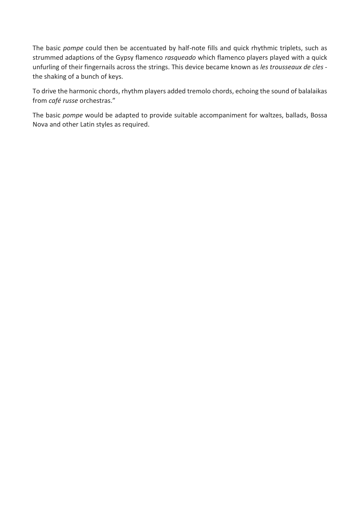The basic *pompe* could then be accentuated by half-note fills and quick rhythmic triplets, such as strummed adaptions of the Gypsy flamenco *rasqueado* which flamenco players played with a quick unfurling of their fingernails across the strings. This device became known as *les trousseaux de cles* the shaking of a bunch of keys.

To drive the harmonic chords, rhythm players added tremolo chords, echoing the sound of balalaikas from *café russe* orchestras."

The basic *pompe* would be adapted to provide suitable accompaniment for waltzes, ballads, Bossa Nova and other Latin styles as required.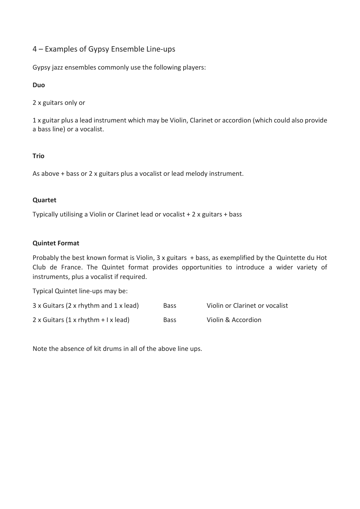## 4 – Examples of Gypsy Ensemble Line-ups

Gypsy jazz ensembles commonly use the following players:

#### **Duo**

2 x guitars only or

1 x guitar plus a lead instrument which may be Violin, Clarinet or accordion (which could also provide a bass line) or a vocalist.

#### **Trio**

As above + bass or 2 x guitars plus a vocalist or lead melody instrument.

#### **Quartet**

Typically utilising a Violin or Clarinet lead or vocalist + 2 x guitars + bass

#### **Quintet Format**

Probably the best known format is Violin, 3 x guitars + bass, as exemplified by the Quintette du Hot Club de France. The Quintet format provides opportunities to introduce a wider variety of instruments, plus a vocalist if required.

Typical Quintet line-ups may be:

| 3 x Guitars (2 x rhythm and 1 x lead)      | <b>Bass</b> | Violin or Clarinet or vocalist |
|--------------------------------------------|-------------|--------------------------------|
| $2 \times$ Guitars (1 x rhythm + I x lead) | <b>Bass</b> | Violin & Accordion             |

Note the absence of kit drums in all of the above line ups.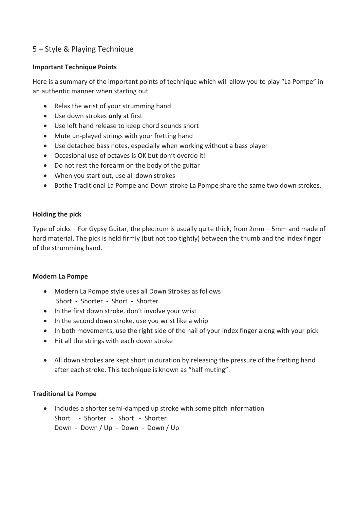## 5 – Style & Playing Technique

#### **Important Technique Points**

Here is a summary of the important points of technique which will allow you to play "La Pompe" in an authentic manner when starting out

- Relax the wrist of your strumming hand
- Use down strokes **only** at first
- Use left hand release to keep chord sounds short
- Mute un-played strings with your fretting hand
- Use detached bass notes, especially when working without a bass player
- Occasional use of octaves is OK but don't overdo it!
- Do not rest the forearm on the body of the guitar
- When you start out, use all down strokes
- Bothe Traditional La Pompe and Down stroke La Pompe share the same two down strokes.

#### **Holding the pick**

Type of picks – For Gypsy Guitar, the plectrum is usually quite thick, from 2mm – 5mm and made of hard material. The pick is held firmly (but not too tightly) between the thumb and the index finger of the strumming hand.

#### **Modern La Pompe**

- Modern La Pompe style uses all Down Strokes as follows Short - Shorter - Short - Shorter
- In the first down stroke, don't involve your wrist
- In the second down stroke, use you wrist like a whip
- In both movements, use the right side of the nail of your index finger along with your pick
- Hit all the strings with each down stroke
- All down strokes are kept short in duration by releasing the pressure of the fretting hand after each stroke. This technique is known as "half muting".

#### **Traditional La Pompe**

• Includes a shorter semi-damped up stroke with some pitch information Short - Shorter - Short - Shorter Down - Down / Up - Down - Down / Up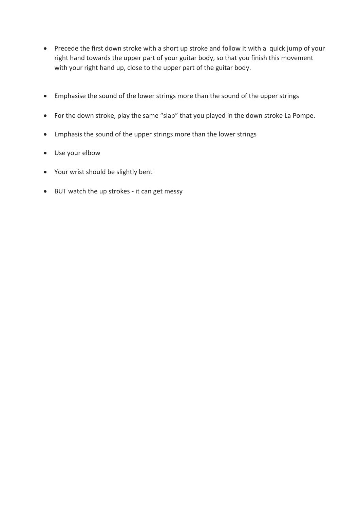- Precede the first down stroke with a short up stroke and follow it with a quick jump of your right hand towards the upper part of your guitar body, so that you finish this movement with your right hand up, close to the upper part of the guitar body.
- Emphasise the sound of the lower strings more than the sound of the upper strings
- For the down stroke, play the same "slap" that you played in the down stroke La Pompe.
- Emphasis the sound of the upper strings more than the lower strings
- Use your elbow
- Your wrist should be slightly bent
- BUT watch the up strokes it can get messy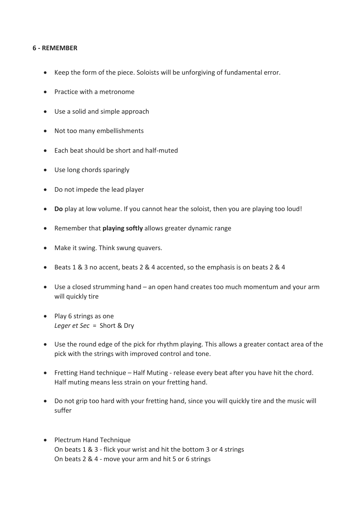#### **6 - REMEMBER**

- Keep the form of the piece. Soloists will be unforgiving of fundamental error.
- Practice with a metronome
- Use a solid and simple approach
- Not too many embellishments
- Each beat should be short and half-muted
- Use long chords sparingly
- Do not impede the lead player
- **Do** play at low volume. If you cannot hear the soloist, then you are playing too loud!
- Remember that **playing softly** allows greater dynamic range
- Make it swing. Think swung quavers.
- Beats 1 & 3 no accent, beats 2 & 4 accented, so the emphasis is on beats 2 & 4
- Use a closed strumming hand an open hand creates too much momentum and your arm will quickly tire
- Play 6 strings as one *Leger et Sec* = Short & Dry
- Use the round edge of the pick for rhythm playing. This allows a greater contact area of the pick with the strings with improved control and tone.
- Fretting Hand technique Half Muting release every beat after you have hit the chord. Half muting means less strain on your fretting hand.
- Do not grip too hard with your fretting hand, since you will quickly tire and the music will suffer
- Plectrum Hand Technique On beats 1 & 3 - flick your wrist and hit the bottom 3 or 4 strings On beats 2 & 4 - move your arm and hit 5 or 6 strings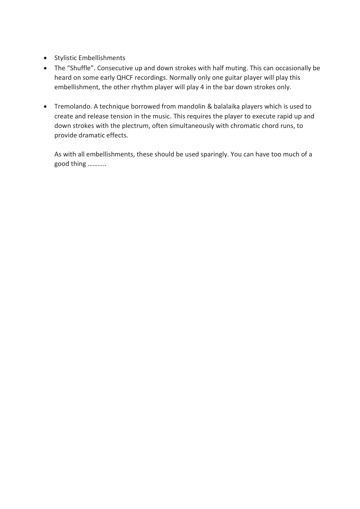- Stylistic Embellishments
- The "Shuffle". Consecutive up and down strokes with half muting. This can occasionally be heard on some early QHCF recordings. Normally only one guitar player will play this embellishment, the other rhythm player will play 4 in the bar down strokes only.
- Tremolando. A technique borrowed from mandolin & balalaika players which is used to create and release tension in the music. This requires the player to execute rapid up and down strokes with the plectrum, often simultaneously with chromatic chord runs, to provide dramatic effects.

As with all embellishments, these should be used sparingly. You can have too much of a good thing ………..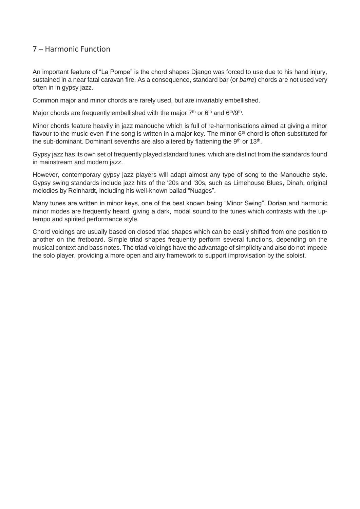### 7 – Harmonic Function

An important feature of "La Pompe" is the chord shapes Django was forced to use due to his hand injury, sustained in a near fatal caravan fire. As a consequence, standard bar (or *barre*) chords are not used very often in in gypsy jazz.

Common major and minor chords are rarely used, but are invariably embellished.

Major chords are frequently embellished with the major  $7<sup>th</sup>$  or  $6<sup>th</sup>$  and  $6<sup>th</sup>/9<sup>th</sup>$ .

Minor chords feature heavily in jazz manouche which is full of re-harmonisations aimed at giving a minor flavour to the music even if the song is written in a major key. The minor  $6<sup>th</sup>$  chord is often substituted for the sub-dominant. Dominant sevenths are also altered by flattening the 9<sup>th</sup> or 13<sup>th</sup>.

Gypsy jazz has its own set of frequently played standard tunes, which are distinct from the standards found in mainstream and modern jazz.

However, contemporary gypsy jazz players will adapt almost any type of song to the Manouche style. Gypsy swing standards include jazz hits of the '20s and '30s, such as Limehouse Blues, Dinah, original melodies by Reinhardt, including his well-known ballad "Nuages".

Many tunes are written in minor keys, one of the best known being "Minor Swing". Dorian and harmonic minor modes are frequently heard, giving a dark, modal sound to the tunes which contrasts with the uptempo and spirited performance style.

Chord voicings are usually based on closed triad shapes which can be easily shifted from one position to another on the fretboard. Simple triad shapes frequently perform several functions, depending on the musical context and bass notes. The triad voicings have the advantage of simplicity and also do not impede the solo player, providing a more open and airy framework to support improvisation by the soloist.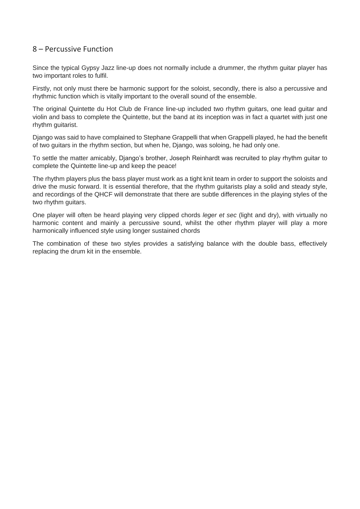#### 8 – Percussive Function

Since the typical Gypsy Jazz line-up does not normally include a drummer, the rhythm guitar player has two important roles to fulfil.

Firstly, not only must there be harmonic support for the soloist, secondly, there is also a percussive and rhythmic function which is vitally important to the overall sound of the ensemble.

The original Quintette du Hot Club de France line-up included two rhythm guitars, one lead guitar and violin and bass to complete the Quintette, but the band at its inception was in fact a quartet with just one rhythm guitarist.

Django was said to have complained to Stephane Grappelli that when Grappelli played, he had the benefit of two guitars in the rhythm section, but when he, Django, was soloing, he had only one.

To settle the matter amicably, Django's brother, Joseph Reinhardt was recruited to play rhythm guitar to complete the Quintette line-up and keep the peace!

The rhythm players plus the bass player must work as a tight knit team in order to support the soloists and drive the music forward. It is essential therefore, that the rhythm guitarists play a solid and steady style, and recordings of the QHCF will demonstrate that there are subtle differences in the playing styles of the two rhythm guitars.

One player will often be heard playing very clipped chords *leger et sec* (light and dry), with virtually no harmonic content and mainly a percussive sound, whilst the other rhythm player will play a more harmonically influenced style using longer sustained chords

The combination of these two styles provides a satisfying balance with the double bass, effectively replacing the drum kit in the ensemble.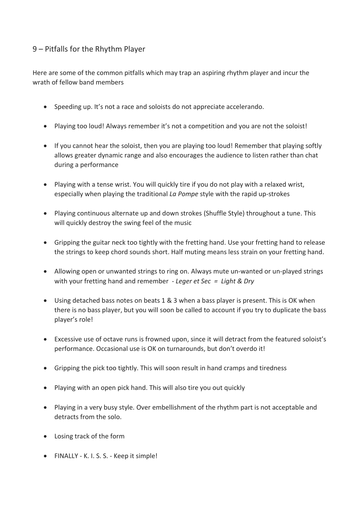## 9 – Pitfalls for the Rhythm Player

Here are some of the common pitfalls which may trap an aspiring rhythm player and incur the wrath of fellow band members

- Speeding up. It's not a race and soloists do not appreciate accelerando.
- Playing too loud! Always remember it's not a competition and you are not the soloist!
- If you cannot hear the soloist, then you are playing too loud! Remember that playing softly allows greater dynamic range and also encourages the audience to listen rather than chat during a performance
- Playing with a tense wrist. You will quickly tire if you do not play with a relaxed wrist, especially when playing the traditional *La Pompe* style with the rapid up-strokes
- Playing continuous alternate up and down strokes (Shuffle Style) throughout a tune. This will quickly destroy the swing feel of the music
- Gripping the guitar neck too tightly with the fretting hand. Use your fretting hand to release the strings to keep chord sounds short. Half muting means less strain on your fretting hand.
- Allowing open or unwanted strings to ring on. Always mute un-wanted or un-played strings with your fretting hand and remember - *Leger et Sec = Light & Dry*
- Using detached bass notes on beats 1 & 3 when a bass player is present. This is OK when there is no bass player, but you will soon be called to account if you try to duplicate the bass player's role!
- Excessive use of octave runs is frowned upon, since it will detract from the featured soloist's performance. Occasional use is OK on turnarounds, but don't overdo it!
- Gripping the pick too tightly. This will soon result in hand cramps and tiredness
- Playing with an open pick hand. This will also tire you out quickly
- Playing in a very busy style. Over embellishment of the rhythm part is not acceptable and detracts from the solo.
- Losing track of the form
- FINALLY K. I. S. S. Keep it simple!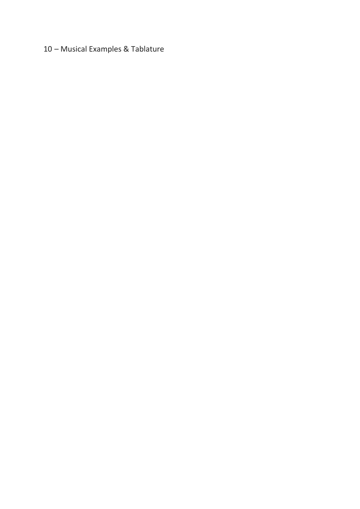## – Musical Examples & Tablature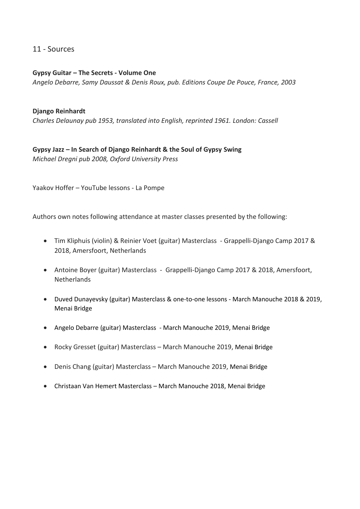#### 11 - Sources

**Gypsy Guitar – The Secrets - Volume One** *Angelo Debarre, Samy Daussat & Denis Roux, pub. Editions Coupe De Pouce, France, 2003*

#### **Django Reinhardt**

*Charles Delaunay pub 1953, translated into English, reprinted 1961. London: Cassell*

**Gypsy Jazz – In Search of Django Reinhardt & the Soul of Gypsy Swing** *Michael Dregni pub 2008, Oxford University Press*

Yaakov Hoffer – YouTube lessons - La Pompe

Authors own notes following attendance at master classes presented by the following:

- Tim Kliphuis (violin) & Reinier Voet (guitar) Masterclass Grappelli-Django Camp 2017 & 2018, Amersfoort, Netherlands
- Antoine Boyer (guitar) Masterclass Grappelli-Django Camp 2017 & 2018, Amersfoort, **Netherlands**
- Duved Dunayevsky (guitar) Masterclass & one-to-one lessons March Manouche 2018 & 2019, Menai Bridge
- Angelo Debarre (guitar) Masterclass March Manouche 2019, Menai Bridge
- Rocky Gresset (guitar) Masterclass March Manouche 2019, Menai Bridge
- Denis Chang (guitar) Masterclass March Manouche 2019, Menai Bridge
- Christaan Van Hemert Masterclass March Manouche 2018, Menai Bridge